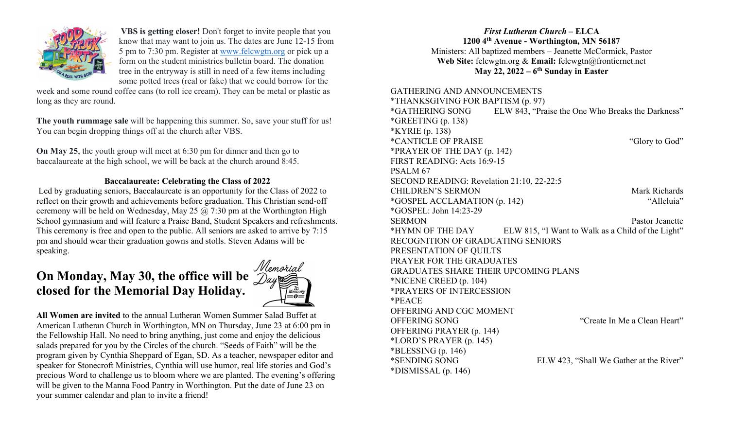

VBS is getting closer! Don't forget to invite people that you know that may want to join us. The dates are June 12-15 from 5 pm to 7:30 pm. Register at www.felcwgtn.org or pick up a form on the student ministries bulletin board. The donation tree in the entryway is still in need of a few items including some potted trees (real or fake) that we could borrow for the

week and some round coffee cans (to roll ice cream). They can be metal or plastic as long as they are round.

The youth rummage sale will be happening this summer. So, save your stuff for us! You can begin dropping things off at the church after VBS.

On May 25, the youth group will meet at 6:30 pm for dinner and then go to baccalaureate at the high school, we will be back at the church around 8:45.

## Baccalaureate: Celebrating the Class of 2022

 Led by graduating seniors, Baccalaureate is an opportunity for the Class of 2022 to reflect on their growth and achievements before graduation. This Christian send-off ceremony will be held on Wednesday, May 25  $\omega$  7:30 pm at the Worthington High School gymnasium and will feature a Praise Band, Student Speakers and refreshments. This ceremony is free and open to the public. All seniors are asked to arrive by 7:15 pm and should wear their graduation gowns and stolls. Steven Adams will be speaking.

# On Monday, May 30, the office will be closed for the Memorial Day Holiday.



All Women are invited to the annual Lutheran Women Summer Salad Buffet at American Lutheran Church in Worthington, MN on Thursday, June 23 at 6:00 pm in the Fellowship Hall. No need to bring anything, just come and enjoy the delicious salads prepared for you by the Circles of the church. "Seeds of Faith" will be the program given by Cynthia Sheppard of Egan, SD. As a teacher, newspaper editor and speaker for Stonecroft Ministries, Cynthia will use humor, real life stories and God's precious Word to challenge us to bloom where we are planted. The evening's offering will be given to the Manna Food Pantry in Worthington. Put the date of June 23 on your summer calendar and plan to invite a friend!

## First Lutheran Church – ELCA 1200 4th Avenue - Worthington, MN 56187 Ministers: All baptized members – Jeanette McCormick, Pastor Web Site: felcwgtn.org & Email: felcwgtn@frontiernet.net May 22,  $2022 - 6$ <sup>th</sup> Sunday in Easter

GATHERING AND ANNOUNCEMENTS \*THANKSGIVING FOR BAPTISM (p. 97) \*GATHERING SONG ELW 843, "Praise the One Who Breaks the Darkness"  $*GREFING(p. 138)$ \*KYRIE (p. 138) \*CANTICLE OF PRAISE "Glory to God" \*PRAYER OF THE DAY (p. 142) FIRST READING: Acts 16:9-15 PSALM 67 SECOND READING: Revelation 21:10, 22-22:5 CHILDREN'S SERMON Mark Richards \*GOSPEL ACCLAMATION (p. 142) "Alleluia" \*GOSPEL: John 14:23-29 SERMON Pastor Jeanette \*HYMN OF THE DAY ELW 815, "I Want to Walk as a Child of the Light" RECOGNITION OF GRADUATING SENIORS PRESENTATION OF QUILTS PRAYER FOR THE GRADUATES GRADUATES SHARE THEIR UPCOMING PLANS \*NICENE CREED (p. 104) \*PRAYERS OF INTERCESSION \*PEACE OFFERING AND CGC MOMENT OFFERING SONG "Create In Me a Clean Heart" OFFERING PRAYER (p. 144) \*LORD'S PRAYER (p. 145)  $*BLESSING (p. 146)$ \*SENDING SONG ELW 423, "Shall We Gather at the River" \*DISMISSAL (p. 146)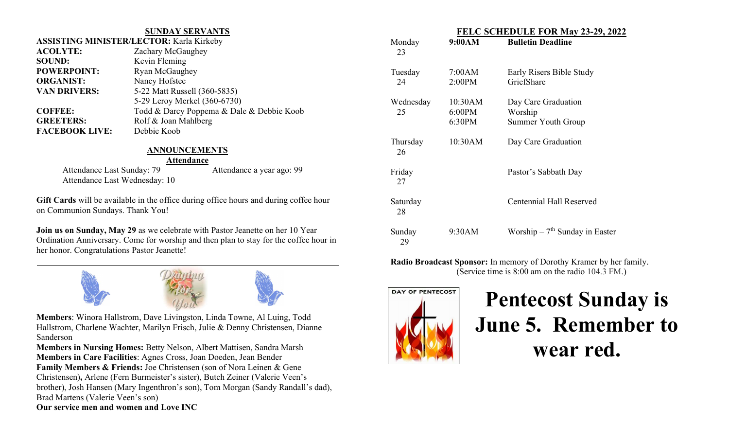### SUNDAY SERVANTS ASSISTING MINISTER/LECTOR: Karla Kirkeby

| <b>ACOLYTE:</b>       | Zachary McGaughey                         |  |
|-----------------------|-------------------------------------------|--|
| <b>SOUND:</b>         | Kevin Fleming                             |  |
| <b>POWERPOINT:</b>    | Ryan McGaughey                            |  |
| <b>ORGANIST:</b>      | Nancy Hofstee                             |  |
| <b>VAN DRIVERS:</b>   | 5-22 Matt Russell (360-5835)              |  |
|                       | 5-29 Leroy Merkel (360-6730)              |  |
| <b>COFFEE:</b>        | Todd & Darcy Poppema & Dale & Debbie Koob |  |
| <b>GREETERS:</b>      | Rolf & Joan Mahlberg                      |  |
| <b>FACEBOOK LIVE:</b> | Debbie Koob                               |  |
|                       |                                           |  |

## ANNOUNCEMENTS

#### Attendance

Attendance Last Sunday: 79 Attendance a year ago: 99 Attendance Last Wednesday: 10

Ī

Gift Cards will be available in the office during office hours and during coffee hour on Communion Sundays. Thank You!

Join us on Sunday, May 29 as we celebrate with Pastor Jeanette on her 10 Year Ordination Anniversary. Come for worship and then plan to stay for the coffee hour in her honor. Congratulations Pastor Jeanette!



Members: Winora Hallstrom, Dave Livingston, Linda Towne, Al Luing, Todd Hallstrom, Charlene Wachter, Marilyn Frisch, Julie & Denny Christensen, Dianne Sanderson

Members in Nursing Homes: Betty Nelson, Albert Mattisen, Sandra Marsh Members in Care Facilities: Agnes Cross, Joan Doeden, Jean Bender Family Members & Friends: Joe Christensen (son of Nora Leinen & Gene Christensen), Arlene (Fern Burmeister's sister), Butch Zeiner (Valerie Veen's brother), Josh Hansen (Mary Ingenthron's son), Tom Morgan (Sandy Randall's dad), Brad Martens (Valerie Veen's son) Our service men and women and Love INC

| FELC SCHEDULE FOR May 23-29, 2022 |                             |                                                      |
|-----------------------------------|-----------------------------|------------------------------------------------------|
| Monday<br>23                      | 9:00AM                      | <b>Bulletin Deadline</b>                             |
| Tuesday<br>24                     | 7:00AM<br>2:00PM            | Early Risers Bible Study<br>GriefShare               |
| Wednesday<br>25                   | 10:30AM<br>6:00PM<br>6:30PM | Day Care Graduation<br>Worship<br>Summer Youth Group |
| Thursday<br>26                    | 10:30AM                     | Day Care Graduation                                  |
| Friday<br>27                      |                             | Pastor's Sabbath Day                                 |
| Saturday<br>28                    |                             | Centennial Hall Reserved                             |
| Sunday<br>29                      | 9:30AM                      | Worship $-7$ <sup>th</sup> Sunday in Easter          |

Radio Broadcast Sponsor: In memory of Dorothy Kramer by her family. (Service time is 8:00 am on the radio 104.3 FM.)



Pentecost Sunday is June 5. Remember to wear red.